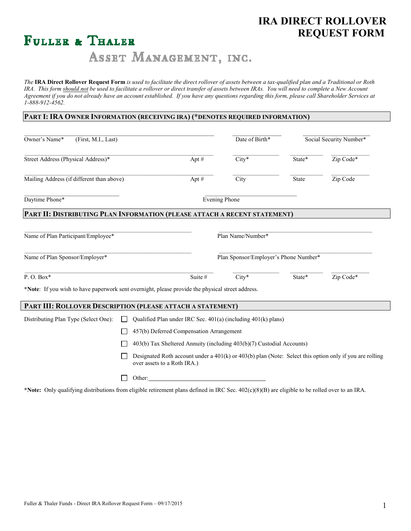# **IRA DIRECT ROLLOVER FULLER & THALER REQUEST FORM**

# ASSET MANAGEMENT, INC.

*The* **IRA Direct Rollover Request Form** *is used to facilitate the direct rollover of assets between a tax-qualified plan and a Traditional or Roth*  IRA. This form should not be used to facilitate a rollover or direct transfer of assets between IRAs. You will need to complete a New Account *Agreement if you do not already have an account established. If you have any questions regarding this form, please call Shareholder Services at 1-888-912-4562.* 

# **PART I: IRA OWNER INFORMATION (RECEIVING IRA) (\*DENOTES REQUIRED INFORMATION)**

| Owner's Name*<br>(First, M.I., Last)                                                             |                                                                                                                                            |                                          | Date of Birth* | Social Security Number*               |        |           |
|--------------------------------------------------------------------------------------------------|--------------------------------------------------------------------------------------------------------------------------------------------|------------------------------------------|----------------|---------------------------------------|--------|-----------|
| Street Address (Physical Address)*                                                               |                                                                                                                                            | Apt #                                    |                | $City*$                               | State* | Zip Code* |
| Mailing Address (if different than above)                                                        |                                                                                                                                            | Apt #                                    |                | City                                  | State  | Zip Code  |
| Daytime Phone*                                                                                   |                                                                                                                                            |                                          |                | <b>Evening Phone</b>                  |        |           |
| PART II: DISTRIBUTING PLAN INFORMATION (PLEASE ATTACH A RECENT STATEMENT)                        |                                                                                                                                            |                                          |                |                                       |        |           |
| Name of Plan Participant/Employee*                                                               |                                                                                                                                            |                                          |                | Plan Name/Number*                     |        |           |
| Name of Plan Sponsor/Employer*                                                                   |                                                                                                                                            |                                          |                | Plan Sponsor/Employer's Phone Number* |        |           |
| P.O.Box*                                                                                         |                                                                                                                                            | Suite #                                  |                | $City*$                               | State* | Zip Code* |
| *Note: If you wish to have paperwork sent overnight, please provide the physical street address. |                                                                                                                                            |                                          |                |                                       |        |           |
| PART III: ROLLOVER DESCRIPTION (PLEASE ATTACH A STATEMENT)                                       |                                                                                                                                            |                                          |                |                                       |        |           |
| Distributing Plan Type (Select One):                                                             | Qualified Plan under IRC Sec. 401(a) (including 401(k) plans)                                                                              |                                          |                |                                       |        |           |
|                                                                                                  |                                                                                                                                            | 457(b) Deferred Compensation Arrangement |                |                                       |        |           |
| 403(b) Tax Sheltered Annuity (including 403(b)(7) Custodial Accounts)                            |                                                                                                                                            |                                          |                |                                       |        |           |
|                                                                                                  | Designated Roth account under a $401(k)$ or $403(b)$ plan (Note: Select this option only if you are rolling<br>over assets to a Roth IRA.) |                                          |                |                                       |        |           |
|                                                                                                  |                                                                                                                                            | Other:                                   |                |                                       |        |           |

**\*Note:**Only qualifying distributions from eligible retirement plans defined in IRC Sec. 402(c)(8)(B) are eligible to be rolled over to an IRA.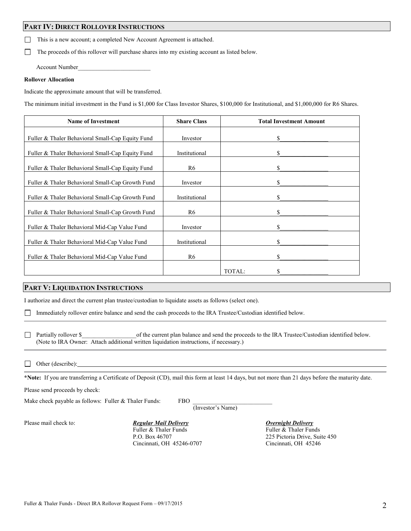# **PART IV: DIRECT ROLLOVER INSTRUCTIONS**

**This is a new account; a completed New Account Agreement is attached.** 

□ The proceeds of this rollover will purchase shares into my existing account as listed below.

Account Number\_\_\_\_\_\_\_\_\_\_\_\_\_\_\_\_\_\_\_\_\_\_\_\_

#### **Rollover Allocation**

Indicate the approximate amount that will be transferred.

The minimum initial investment in the Fund is \$1,000 for Class Investor Shares, \$100,000 for Institutional, and \$1,000,000 for R6 Shares.

| <b>Name of Investment</b>                        | <b>Share Class</b> | <b>Total Investment Amount</b> |  |  |
|--------------------------------------------------|--------------------|--------------------------------|--|--|
| Fuller & Thaler Behavioral Small-Cap Equity Fund | Investor           | \$                             |  |  |
| Fuller & Thaler Behavioral Small-Cap Equity Fund | Institutional      | \$                             |  |  |
| Fuller & Thaler Behavioral Small-Cap Equity Fund | R6                 | \$                             |  |  |
| Fuller & Thaler Behavioral Small-Cap Growth Fund | Investor           | \$                             |  |  |
| Fuller & Thaler Behavioral Small-Cap Growth Fund | Institutional      | \$                             |  |  |
| Fuller & Thaler Behavioral Small-Cap Growth Fund | R6                 | \$                             |  |  |
| Fuller & Thaler Behavioral Mid-Cap Value Fund    | Investor           | \$                             |  |  |
| Fuller & Thaler Behavioral Mid-Cap Value Fund    | Institutional      | \$                             |  |  |
| Fuller & Thaler Behavioral Mid-Cap Value Fund    | R <sub>6</sub>     | S                              |  |  |
|                                                  |                    | TOTAL:                         |  |  |

# **PART V: LIQUIDATION INSTRUCTIONS**

I authorize and direct the current plan trustee/custodian to liquidate assets as follows (select one).

Immediately rollover entire balance and send the cash proceeds to the IRA Trustee/Custodian identified below.

□ Partially rollover \$ of the current plan balance and send the proceeds to the IRA Trustee/Custodian identified below. (Note to IRA Owner: Attach additional written liquidation instructions, if necessary.)

#### $\Box$  Other (describe):

**\*Note:** If you are transferring a Certificate of Deposit (CD), mail this form at least 14 days, but not more than 21 days before the maturity date.

Please send proceeds by check:

Make check payable as follows: Fuller  $&$  Thaler Funds: FBO

(Investor's Name)

Please mail check to: *Regular Mail Delivery* Delivery *Overnight Delivery* Fuller & Thaler Funds Fuller & Thaler Funds Cincinnati, OH 45246-0707 Cincinnati, OH 45246

P.O. Box 46707 225 Pictoria Drive, Suite 450